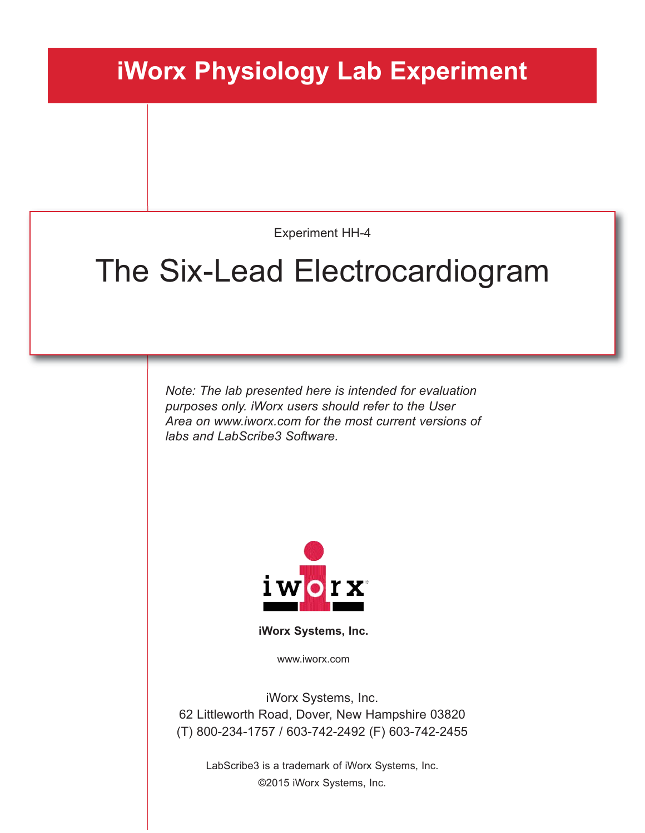## **iWorx Physiology Lab Experiment**

Experiment HH-4

# The Six-Lead Electrocardiogram

*Note: The lab presented here is intended for evaluation purposes only. iWorx users should refer to the User Area on www.iworx.com for the most current versions of labs and LabScribe3 Software.*



**iWorx Systems, Inc.**

www.iworx.com

iWorx Systems, Inc. 62 Littleworth Road, Dover, New Hampshire 03820 (T) 800-234-1757 / 603-742-2492 (F) 603-742-2455

LabScribe3 is a trademark of iWorx Systems, Inc. ©2015 iWorx Systems, Inc.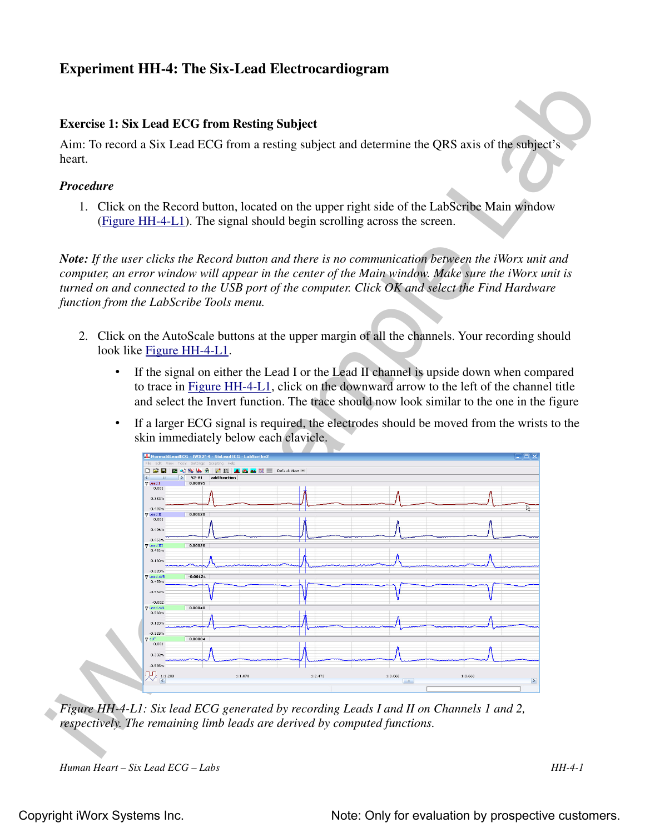### **Experiment HH-4: The Six-Lead Electrocardiogram**

### **Exercise 1: Six Lead ECG from Resting Subject**

Aim: To record a Six Lead ECG from a resting subject and determine the QRS axis of the subject's heart.

#### *Procedure*

1. Click on the Record button, located on the upper right side of the LabScribe Main window (Figure HH-4-L1). The signal should begin scrolling across the screen.

*Note: If the user clicks the Record button and there is no communication between the iWorx unit and computer, an error window will appear in the center of the Main window. Make sure the iWorx unit is turned on and connected to the USB port of the computer. Click OK and select the Find Hardware function from the LabScribe Tools menu.* 

- 2. Click on the AutoScale buttons at the upper margin of all the channels. Your recording should look like Figure HH-4-L1.
	- If the signal on either the Lead I or the Lead II channel is upside down when compared to trace in Figure HH-4-L1, click on the downward arrow to the left of the channel title and select the Invert function. The trace should now look similar to the one in the figure
	- If a larger ECG signal is required, the electrodes should be moved from the wrists to the skin immediately below each clavicle.



*Figure HH-4-L1: Six lead ECG generated by recording Leads I and II on Channels 1 and 2, respectively. The remaining limb leads are derived by computed functions.*

*Human Heart – Six Lead ECG – Labs HH-4-1*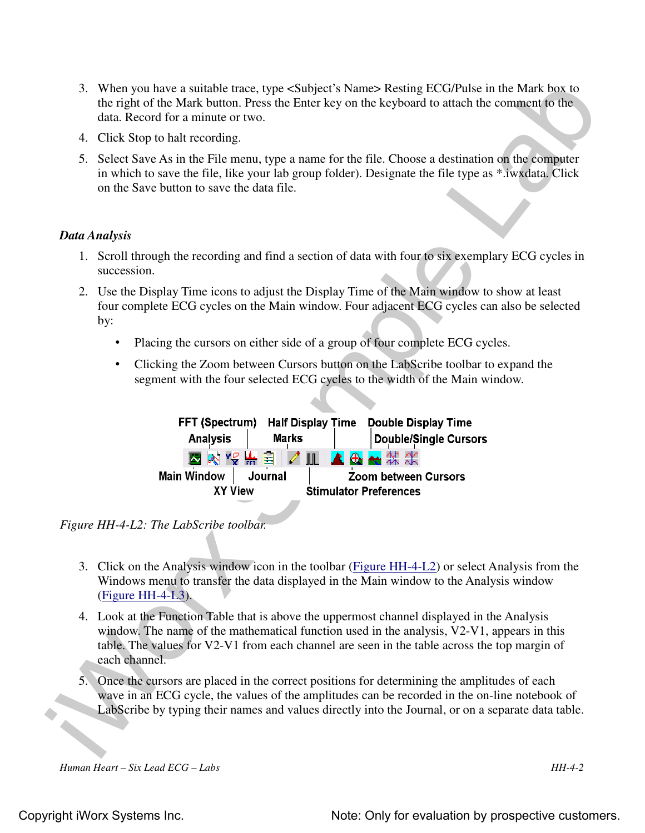- 3. When you have a suitable trace, type <Subject's Name> Resting ECG/Pulse in the Mark box to the right of the Mark button. Press the Enter key on the keyboard to attach the comment to the data. Record for a minute or two.
- 4. Click Stop to halt recording.
- 5. Select Save As in the File menu, type a name for the file. Choose a destination on the computer in which to save the file, like your lab group folder). Designate the file type as \*.iwxdata. Click on the Save button to save the data file.

#### *Data Analysis*

- 1. Scroll through the recording and find a section of data with four to six exemplary ECG cycles in succession.
- 2. Use the Display Time icons to adjust the Display Time of the Main window to show at least four complete ECG cycles on the Main window. Four adjacent ECG cycles can also be selected by:
	- Placing the cursors on either side of a group of four complete ECG cycles.
	- Clicking the Zoom between Cursors button on the LabScribe toolbar to expand the segment with the four selected ECG cycles to the width of the Main window.

| 3. When you have a suitable trace, type <subject's name=""> Resting ECG/Pulse in the Mark box to<br/>the right of the Mark button. Press the Enter key on the keyboard to attach the comment to the<br/>data. Record for a minute or two.</subject's>                                                      |  |  |  |  |
|------------------------------------------------------------------------------------------------------------------------------------------------------------------------------------------------------------------------------------------------------------------------------------------------------------|--|--|--|--|
| 4. Click Stop to halt recording.                                                                                                                                                                                                                                                                           |  |  |  |  |
| 5. Select Save As in the File menu, type a name for the file. Choose a destination on the computer<br>in which to save the file, like your lab group folder). Designate the file type as *.iwxdata. Click<br>on the Save button to save the data file.                                                     |  |  |  |  |
| Data Analysis                                                                                                                                                                                                                                                                                              |  |  |  |  |
| 1. Scroll through the recording and find a section of data with four to six exemplary ECG cycles in<br>succession.                                                                                                                                                                                         |  |  |  |  |
| 2. Use the Display Time icons to adjust the Display Time of the Main window to show at least<br>four complete ECG cycles on the Main window. Four adjacent ECG cycles can also be selected<br>by:                                                                                                          |  |  |  |  |
| Placing the cursors on either side of a group of four complete ECG cycles.                                                                                                                                                                                                                                 |  |  |  |  |
| Clicking the Zoom between Cursors button on the LabScribe toolbar to expand the<br>$\bullet$<br>segment with the four selected ECG cycles to the width of the Main window.                                                                                                                                 |  |  |  |  |
| FFT (Spectrum)<br><b>Half Display Time</b><br><b>Double Display Time</b><br><b>Marks</b><br><b>Analysis</b><br><b>Double/Single Cursors</b><br>▲岛▲架次<br>图 对 "9 需 自   4 皿  <br><b>Main Window</b><br>Journal<br><b>Zoom between Cursors</b><br><b>XY View</b><br><b>Stimulator Preferences</b>              |  |  |  |  |
| Figure HH-4-L2: The LabScribe toolbar.                                                                                                                                                                                                                                                                     |  |  |  |  |
| 3. Click on the Analysis window icon in the toolbar (Figure HH-4-L2) or select Analysis from the<br>Windows menu to transfer the data displayed in the Main window to the Analysis window<br>$(Figure HH-4-L3).$                                                                                           |  |  |  |  |
| 4. Look at the Function Table that is above the uppermost channel displayed in the Analysis<br>window. The name of the mathematical function used in the analysis, V2-V1, appears in this<br>table. The values for V2-V1 from each channel are seen in the table across the top margin of<br>each channel. |  |  |  |  |
| 5. Once the cursors are placed in the correct positions for determining the amplitudes of each<br>wave in an ECG cycle, the values of the amplitudes can be recorded in the on-line notebook of<br>LabScribe by typing their names and values directly into the Journal, or on a separate data table.      |  |  |  |  |
|                                                                                                                                                                                                                                                                                                            |  |  |  |  |

*Figure HH-4-L2: The LabScribe toolbar.*

- 3. Click on the Analysis window icon in the toolbar (Figure HH-4-L2) or select Analysis from the Windows menu to transfer the data displayed in the Main window to the Analysis window (Figure HH-4-L3).
- 4. Look at the Function Table that is above the uppermost channel displayed in the Analysis window. The name of the mathematical function used in the analysis, V2-V1, appears in this table. The values for V2-V1 from each channel are seen in the table across the top margin of each channel.
- 5. Once the cursors are placed in the correct positions for determining the amplitudes of each wave in an ECG cycle, the values of the amplitudes can be recorded in the on-line notebook of LabScribe by typing their names and values directly into the Journal, or on a separate data table.

*Human Heart – Six Lead ECG – Labs HH-4-2*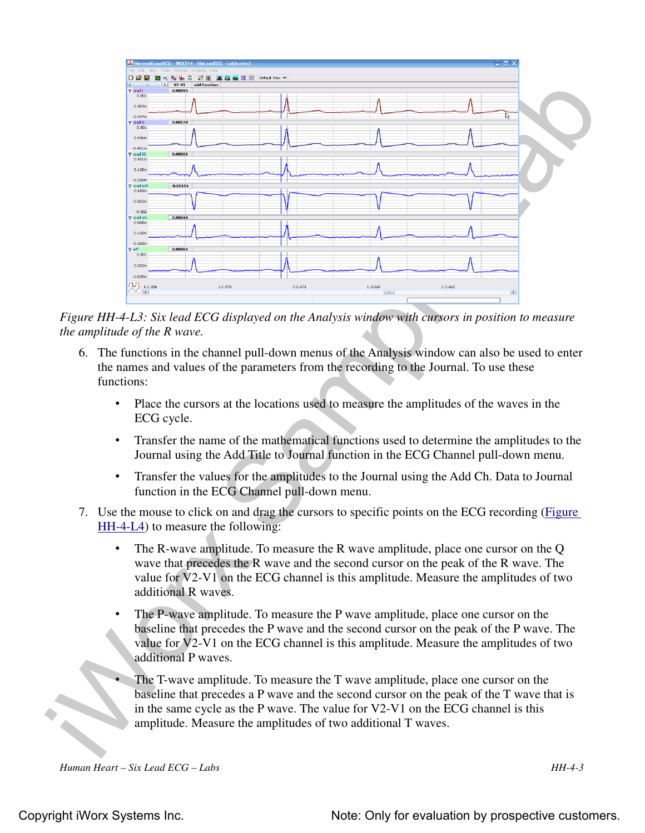

*Figure HH-4-L3: Six lead ECG displayed on the Analysis window with cursors in position to measure the amplitude of the R wave.*

- 6. The functions in the channel pull-down menus of the Analysis window can also be used to enter the names and values of the parameters from the recording to the Journal. To use these functions:
	- Place the cursors at the locations used to measure the amplitudes of the waves in the ECG cycle.
	- Transfer the name of the mathematical functions used to determine the amplitudes to the Journal using the Add Title to Journal function in the ECG Channel pull-down menu.
	- Transfer the values for the amplitudes to the Journal using the Add Ch. Data to Journal function in the ECG Channel pull-down menu.
- 7. Use the mouse to click on and drag the cursors to specific points on the ECG recording (Figure HH-4-L4) to measure the following:
	- The R-wave amplitude. To measure the R wave amplitude, place one cursor on the Q wave that precedes the R wave and the second cursor on the peak of the R wave. The value for V2-V1 on the ECG channel is this amplitude. Measure the amplitudes of two additional R waves.
	- The P-wave amplitude. To measure the P wave amplitude, place one cursor on the baseline that precedes the P wave and the second cursor on the peak of the P wave. The value for V2-V1 on the ECG channel is this amplitude. Measure the amplitudes of two additional P waves.
	- The T-wave amplitude. To measure the T wave amplitude, place one cursor on the baseline that precedes a P wave and the second cursor on the peak of the T wave that is in the same cycle as the P wave. The value for V2-V1 on the ECG channel is this amplitude. Measure the amplitudes of two additional T waves.

*Human Heart – Six Lead ECG – Labs HH-4-3*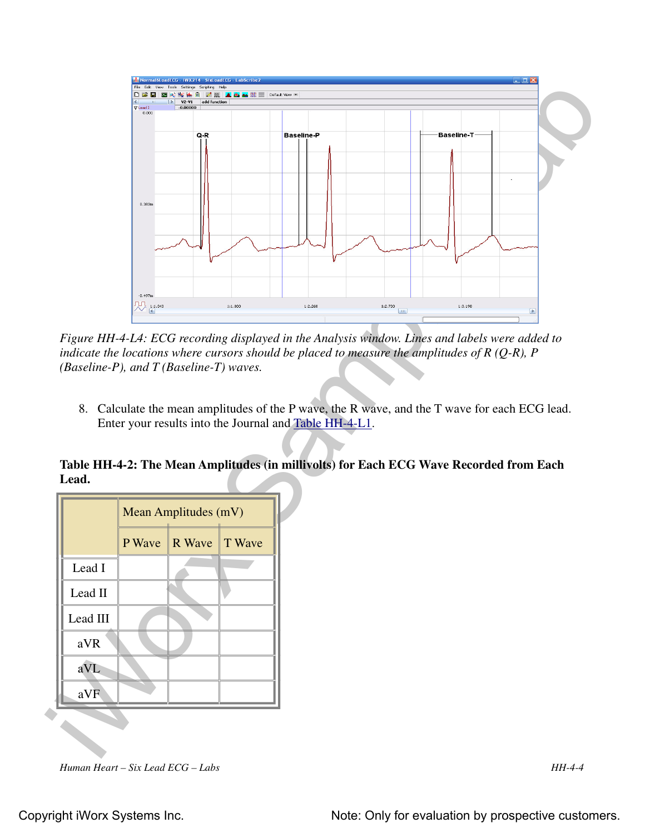

*Figure HH-4-L4: ECG recording displayed in the Analysis window. Lines and labels were added to indicate the locations where cursors should be placed to measure the amplitudes of R (Q-R), P (Baseline-P), and T (Baseline-T) waves.*

8. Calculate the mean amplitudes of the P wave, the R wave, and the T wave for each ECG lead. Enter your results into the Journal and Table HH-4-L1.

**Table HH-4-2: The Mean Amplitudes (in millivolts) for Each ECG Wave Recorded from Each Lead.**

|          | Mean Amplitudes (mV) |               |  |
|----------|----------------------|---------------|--|
|          | P Wave               | R Wave T Wave |  |
| Lead I   |                      |               |  |
| Lead II  |                      |               |  |
| Lead III |                      |               |  |
| aVR      |                      |               |  |
| aVL      |                      |               |  |
| aVF      |                      |               |  |
|          |                      |               |  |

*Human Heart – Six Lead ECG – Labs HH-4-4*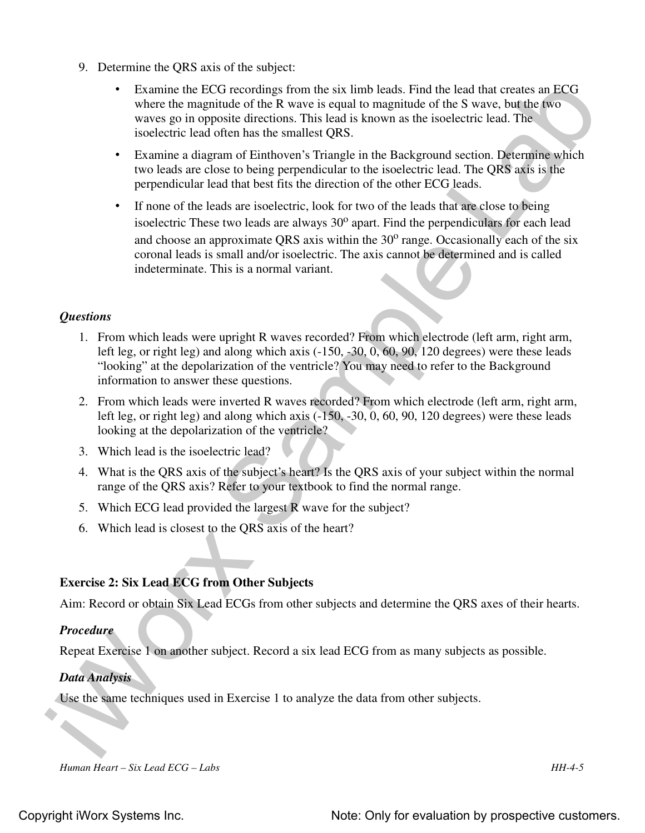- 9. Determine the QRS axis of the subject:
	- Examine the ECG recordings from the six limb leads. Find the lead that creates an ECG where the magnitude of the R wave is equal to magnitude of the S wave, but the two waves go in opposite directions. This lead is known as the isoelectric lead. The isoelectric lead often has the smallest QRS.
	- Examine a diagram of Einthoven's Triangle in the Background section. Determine which two leads are close to being perpendicular to the isoelectric lead. The QRS axis is the perpendicular lead that best fits the direction of the other ECG leads.
- **Examine the LCG recordings from the six limb leads.** Final the land that creates on LCG where the rangulation of the Newor is required to the move that the source but the source to the latter of the source is the source • If none of the leads are isoelectric, look for two of the leads that are close to being isoelectric These two leads are always  $30^{\circ}$  apart. Find the perpendiculars for each lead and choose an approximate QRS axis within the  $30^{\circ}$  range. Occasionally each of the six coronal leads is small and/or isoelectric. The axis cannot be determined and is called indeterminate. This is a normal variant.

#### *Questions*

- 1. From which leads were upright R waves recorded? From which electrode (left arm, right arm, left leg, or right leg) and along which axis (-150, -30, 0, 60, 90, 120 degrees) were these leads "looking" at the depolarization of the ventricle? You may need to refer to the Background information to answer these questions.
- 2. From which leads were inverted R waves recorded? From which electrode (left arm, right arm, left leg, or right leg) and along which axis (-150, -30, 0, 60, 90, 120 degrees) were these leads looking at the depolarization of the ventricle?
- 3. Which lead is the isoelectric lead?
- 4. What is the QRS axis of the subject's heart? Is the QRS axis of your subject within the normal range of the QRS axis? Refer to your textbook to find the normal range.
- 5. Which ECG lead provided the largest R wave for the subject?
- 6. Which lead is closest to the QRS axis of the heart?

#### **Exercise 2: Six Lead ECG from Other Subjects**

Aim: Record or obtain Six Lead ECGs from other subjects and determine the QRS axes of their hearts.

#### *Procedure*

Repeat Exercise 1 on another subject. Record a six lead ECG from as many subjects as possible.

#### *Data Analysis*

Use the same techniques used in Exercise 1 to analyze the data from other subjects.

*Human Heart – Six Lead ECG – Labs HH-4-5*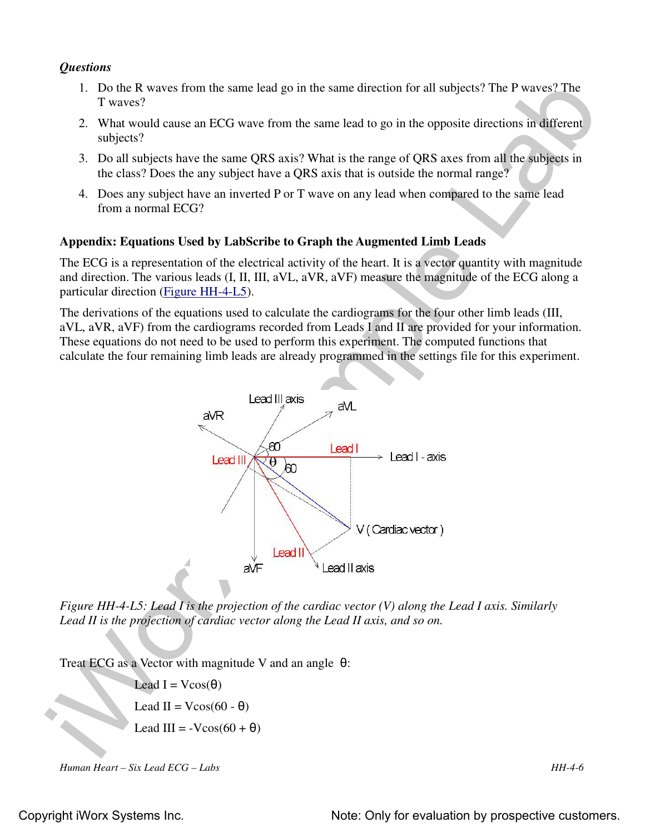#### *Questions*

- 1. Do the R waves from the same lead go in the same direction for all subjects? The P waves? The T waves?
- 2. What would cause an ECG wave from the same lead to go in the opposite directions in different subjects?
- 3. Do all subjects have the same QRS axis? What is the range of QRS axes from all the subjects in the class? Does the any subject have a QRS axis that is outside the normal range?
- 4. Does any subject have an inverted P or T wave on any lead when compared to the same lead from a normal ECG?

#### **Appendix: Equations Used by LabScribe to Graph the Augmented Limb Leads**

The ECG is a representation of the electrical activity of the heart. It is a vector quantity with magnitude and direction. The various leads (I, II, III, aVL, aVR, aVF) measure the magnitude of the ECG along a particular direction (Figure HH-4-L5).

The derivations of the equations used to calculate the cardiograms for the four other limb leads (III, aVL, aVR, aVF) from the cardiograms recorded from Leads I and II are provided for your information. These equations do not need to be used to perform this experiment. The computed functions that calculate the four remaining limb leads are already programmed in the settings file for this experiment.



*Figure HH-4-L5: Lead I is the projection of the cardiac vector (V) along the Lead I axis. Similarly Lead II is the projection of cardiac vector along the Lead II axis, and so on.*

Treat ECG as a Vector with magnitude V and an angle  $\theta$ :

Lead  $I = Vcos(\theta)$ Lead II =  $V\cos(60 - \theta)$ Lead III =  $-V\cos(60 + \theta)$ 

*Human Heart – Six Lead ECG – Labs HH-4-6*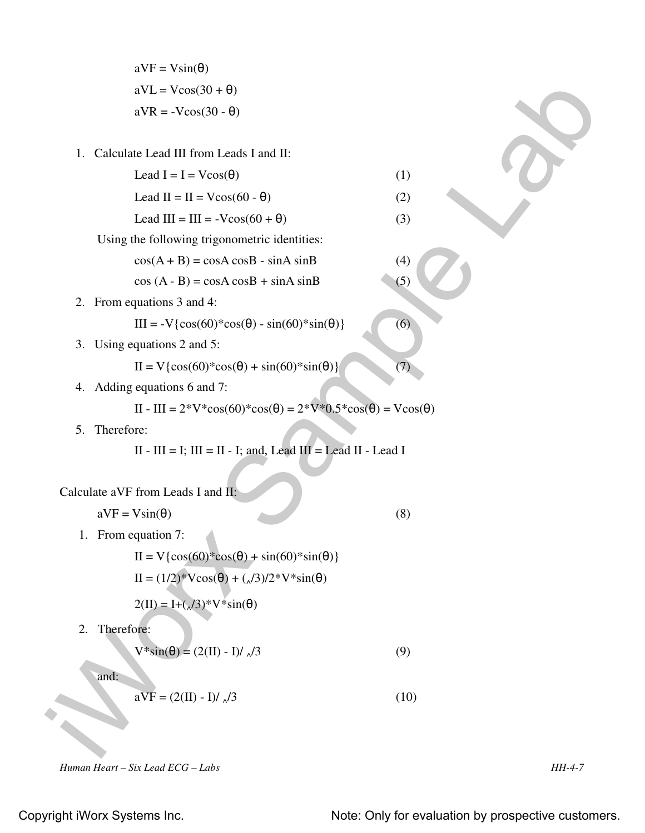| $aVF = Vsin(\theta)$        |
|-----------------------------|
| $aVL = V\cos(30 + \theta)$  |
| $aVR = -V\cos(30 - \theta)$ |

1. Calculate Lead III from Leads I and II:

Lead  $I = I = V\cos(\theta)$  (1)

Lead II = II =  $V\cos(60 - \theta)$  (2)

Lead III =  $III = -V\cos(60 + \theta)$  (3)

Using the following trigonometric identities:

 $cos(A + B) = cosA cosB - sinA sinB$  (4)

$$
\cos (A - B) = \cos A \cos B + \sin A \sin B \tag{5}
$$

2. From equations 3 and 4:

III = -V{cos(60)\*cos(θ) - sin(60)\*sin(θ)} (6)

3. Using equations 2 and 5:

II = V{cos(60)\*cos(θ) + sin(60)\*sin(θ)} (7)

4. Adding equations 6 and 7:

II - III = 
$$
2^*V^*
$$
cos(60)\*cos( $\theta$ ) =  $2^*V^*$ 0.5\*cos( $\theta$ ) = Vcos( $\theta$ )

5. Therefore:

$$
II - III = I; III = II - I; and, Lead III = Lead II - Lead I
$$

Calculate aVF from Leads I and 
$$
\Pi
$$
.

 $aVF = V\sin(\theta)$  (8)

1. From equation 7:

iV.L. = Victorial H (note Lead 3)<br>
a VR = - Victorial H (note Lead 3 Jan) H:<br>
Lead I = 1 = Victorial H (note)<br>
Lead II = 1 = Victorial H (1)<br>
Lead II = 1 = Victorial H (1)<br>
Lead II = 11 = Victorial H (3)<br>
Lead III = III = II = V{cos(60)\*cos(θ) + sin(60)\*sin(θ)} II = (1/2)\*Vcos(θ) + ( $\sqrt{3}$ )/2\*V\*sin(θ)

$$
2(\text{II}) = \text{I} + (\sqrt{3})^* \text{V}^* \sin(\theta)
$$

2. Therefore:

$$
V^* \sin(\theta) = (2(\text{II}) - \text{I}) / \sqrt{3}
$$
 (9)

and:

$$
\mathbf{a}\overline{\mathbf{V}}\mathbf{F} = (2(\mathbf{I}) - \mathbf{I})/\sqrt{3}
$$
 (10)

*Human Heart – Six Lead ECG – Labs HH-4-7*